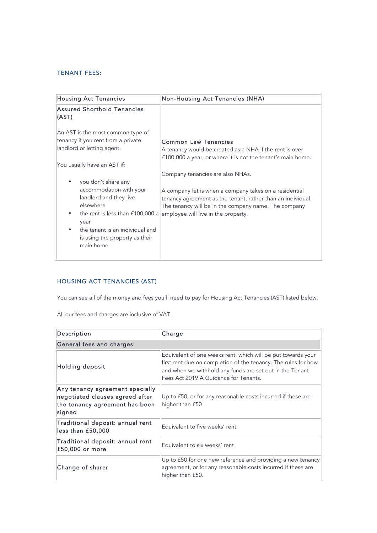## TENANT FEES:

| <b>Housing Act Tenancies</b>                                                                                                                                                    | <b>Non-Housing Act Tenancies (NHA)</b>                                                                                                                                                                               |
|---------------------------------------------------------------------------------------------------------------------------------------------------------------------------------|----------------------------------------------------------------------------------------------------------------------------------------------------------------------------------------------------------------------|
| Assured Shorthold Tenancies<br>(AST)                                                                                                                                            |                                                                                                                                                                                                                      |
| An AST is the most common type of<br>tenancy if you rent from a private<br>landlord or letting agent.<br>You usually have an AST if:<br>you don't share any                     | <b>Common Law Tenancies</b><br>A tenancy would be created as a NHA if the rent is over<br>£100,000 a year, or where it is not the tenant's main home.<br>Company tenancies are also NHAs.                            |
| accommodation with your<br>landlord and they live<br>elsewhere<br>the rent is less than £100,000 a<br>year<br>the tenant is an individual and<br>is using the property as their | A company let is when a company takes on a residential<br>tenancy agreement as the tenant, rather than an individual.<br>The tenancy will be in the company name. The company<br>employee will live in the property. |
| main home                                                                                                                                                                       |                                                                                                                                                                                                                      |

## HOUSING ACT TENANCIES (AST)

You can see all of the money and fees you'll need to pay for Housing Act Tenancies (AST) listed below.

All our fees and charges are inclusive of VAT.

| Description                                                                                                    | Charge                                                                                                                                                                                                                              |  |
|----------------------------------------------------------------------------------------------------------------|-------------------------------------------------------------------------------------------------------------------------------------------------------------------------------------------------------------------------------------|--|
| General fees and charges                                                                                       |                                                                                                                                                                                                                                     |  |
| Holding deposit                                                                                                | Equivalent of one weeks rent, which will be put towards your<br>first rent due on completion of the tenancy. The rules for how<br>and when we withhold any funds are set out in the Tenant<br>Fees Act 2019 A Guidance for Tenants. |  |
| Any tenancy agreement specially<br>negotiated clauses agreed after<br>the tenancy agreement has been<br>signed | Up to £50, or for any reasonable costs incurred if these are<br>higher than £50                                                                                                                                                     |  |
| Traditional deposit: annual rent<br>less than £50,000                                                          | Equivalent to five weeks' rent                                                                                                                                                                                                      |  |
| Traditional deposit: annual rent<br>£50,000 or more                                                            | Equivalent to six weeks' rent                                                                                                                                                                                                       |  |
| Change of sharer                                                                                               | Up to £50 for one new reference and providing a new tenancy<br>agreement, or for any reasonable costs incurred if these are<br>higher than £50.                                                                                     |  |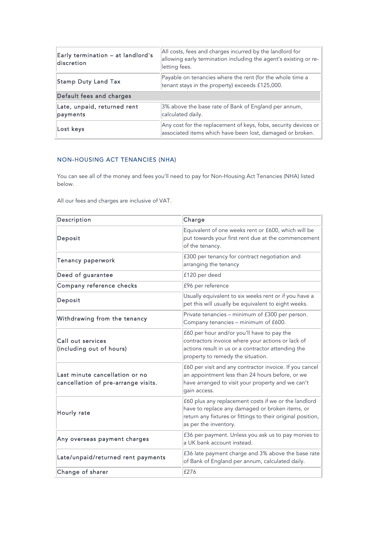| Early termination - at landlord's<br>discretion | All costs, fees and charges incurred by the landlord for<br>allowing early termination including the agent's existing or re-<br>letting fees. |  |
|-------------------------------------------------|-----------------------------------------------------------------------------------------------------------------------------------------------|--|
| Stamp Duty Land Tax                             | Payable on tenancies where the rent (for the whole time a<br>tenant stays in the property) exceeds £125,000.                                  |  |
| Default fees and charges                        |                                                                                                                                               |  |
| Late, unpaid, returned rent<br>payments         | 3% above the base rate of Bank of England per annum,<br>calculated daily.                                                                     |  |
| Lost keys                                       | Any cost for the replacement of keys, fobs, security devices or  <br>associated items which have been lost, damaged or broken.                |  |

## NON-HOUSING ACT TENANCIES (NHA)

You can see all of the money and fees you'll need to pay for Non-Housing Act Tenancies (NHA) listed below.

 $\bar{1}$ 

All our fees and charges are inclusive of VAT.

| Description                                                           | Charge                                                                                                                                                                                          |
|-----------------------------------------------------------------------|-------------------------------------------------------------------------------------------------------------------------------------------------------------------------------------------------|
| Deposit                                                               | Equivalent of one weeks rent or £600, which will be<br>put towards your first rent due at the commencement<br>of the tenancy.                                                                   |
| Tenancy paperwork                                                     | £300 per tenancy for contract negotiation and<br>arranging the tenancy                                                                                                                          |
| Deed of guarantee                                                     | £120 per deed                                                                                                                                                                                   |
| Company reference checks                                              | £96 per reference                                                                                                                                                                               |
| Deposit                                                               | Usually equivalent to six weeks rent or if you have a<br>pet this will usually be equivalent to eight weeks.                                                                                    |
| Withdrawing from the tenancy                                          | Private tenancies - minimum of £300 per person.<br>Company tenancies - minimum of £600.                                                                                                         |
| Call out services<br>(including out of hours)                         | £60 per hour and/or you'll have to pay the<br>contractors invoice where your actions or lack of<br>actions result in us or a contractor attending the<br>property to remedy the situation.      |
| Last minute cancellation or no<br>cancellation of pre-arrange visits. | £60 per visit and any contractor invoice. If you cancel<br>an appointment less than 24 hours before, or we<br>have arranged to visit your property and we can't<br>gain access.                 |
| Hourly rate                                                           | £60 plus any replacement costs if we or the landlord<br>have to replace any damaged or broken items, or<br>return any fixtures or fittings to their original position,<br>as per the inventory. |
| Any overseas payment charges                                          | £36 per payment. Unless you ask us to pay monies to<br>a UK bank account instead.                                                                                                               |
| Late/unpaid/returned rent payments                                    | £36 late payment charge and 3% above the base rate<br>of Bank of England per annum, calculated daily.                                                                                           |
| Change of sharer                                                      | £276                                                                                                                                                                                            |